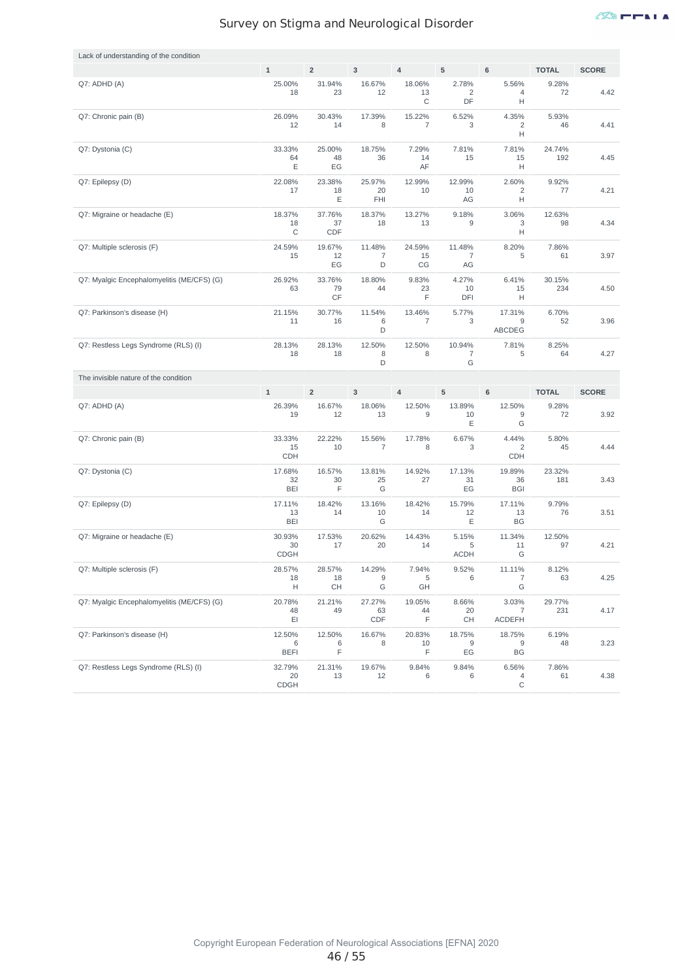| Lack of understanding of the condition     |                             |                     |                               |                    |                                |                                       |               |              |
|--------------------------------------------|-----------------------------|---------------------|-------------------------------|--------------------|--------------------------------|---------------------------------------|---------------|--------------|
|                                            | $\mathbf 1$                 | $\overline{2}$      | $\mathsf 3$                   | $\overline{4}$     | 5                              | $6\phantom{1}$                        | <b>TOTAL</b>  | <b>SCORE</b> |
| Q7: ADHD (A)                               | 25.00%<br>18                | 31.94%<br>23        | 16.67%<br>12                  | 18.06%<br>13<br>С  | 2.78%<br>2<br>DF               | 5.56%<br>4<br>Н                       | 9.28%<br>72   | 4.42         |
| Q7: Chronic pain (B)                       | 26.09%<br>12                | 30.43%<br>14        | 17.39%<br>8                   | 15.22%<br>7        | 6.52%<br>3                     | 4.35%<br>2<br>Н                       | 5.93%<br>46   | 4.41         |
| Q7: Dystonia (C)                           | 33.33%<br>64<br>Ε           | 25.00%<br>48<br>EG  | 18.75%<br>36                  | 7.29%<br>14<br>AF  | 7.81%<br>15                    | 7.81%<br>15<br>Н                      | 24.74%<br>192 | 4.45         |
| Q7: Epilepsy (D)                           | 22.08%<br>17                | 23.38%<br>18<br>Ε   | 25.97%<br>20<br>FHI           | 12.99%<br>10       | 12.99%<br>10<br>AG             | 2.60%<br>2<br>н                       | 9.92%<br>77   | 4.21         |
| Q7: Migraine or headache (E)               | 18.37%<br>18<br>$\mathsf C$ | 37.76%<br>37<br>CDF | 18.37%<br>18                  | 13.27%<br>13       | 9.18%<br>9                     | 3.06%<br>3<br>Н                       | 12.63%<br>98  | 4.34         |
| Q7: Multiple sclerosis (F)                 | 24.59%<br>15                | 19.67%<br>12<br>EG  | 11.48%<br>$\overline{7}$<br>D | 24.59%<br>15<br>CG | 11.48%<br>$\overline{7}$<br>AG | 8.20%<br>5                            | 7.86%<br>61   | 3.97         |
| Q7: Myalgic Encephalomyelitis (ME/CFS) (G) | 26.92%<br>63                | 33.76%<br>79<br>CF  | 18.80%<br>44                  | 9.83%<br>23<br>F   | 4.27%<br>10<br>DFI             | 6.41%<br>15<br>Н                      | 30.15%<br>234 | 4.50         |
| Q7: Parkinson's disease (H)                | 21.15%<br>11                | 30.77%<br>16        | 11.54%<br>6<br>D              | 13.46%<br>7        | 5.77%<br>3                     | 17.31%<br>9<br>ABCDEG                 | 6.70%<br>52   | 3.96         |
| Q7: Restless Legs Syndrome (RLS) (I)       | 28.13%<br>18                | 28.13%<br>18        | 12.50%<br>8<br>D              | 12.50%<br>8        | 10.94%<br>$\overline{7}$<br>G  | 7.81%<br>5                            | 8.25%<br>64   | 4.27         |
|                                            |                             |                     |                               |                    |                                |                                       |               |              |
| The invisible nature of the condition      |                             |                     |                               |                    |                                |                                       |               |              |
|                                            | $\mathbf 1$                 | $\overline{2}$      | 3                             | $\overline{4}$     | 5                              | $\mathbf 6$                           | <b>TOTAL</b>  | <b>SCORE</b> |
| Q7: ADHD (A)                               | 26.39%<br>19                | 16.67%<br>12        | 18.06%<br>13                  | 12.50%<br>9        | 13.89%<br>10<br>Ε              | 12.50%<br>9<br>G                      | 9.28%<br>72   | 3.92         |
| Q7: Chronic pain (B)                       | 33.33%<br>15<br><b>CDH</b>  | 22.22%<br>10        | 15.56%<br>$\overline{7}$      | 17.78%<br>8        | 6.67%<br>3                     | 4.44%<br>$\overline{2}$<br><b>CDH</b> | 5.80%<br>45   | 4.44         |
| Q7: Dystonia (C)                           | 17.68%<br>32<br>BEI         | 16.57%<br>30<br>F   | 13.81%<br>25<br>G             | 14.92%<br>27       | 17.13%<br>31<br>EG             | 19.89%<br>36<br><b>BGI</b>            | 23.32%<br>181 | 3.43         |
| Q7: Epilepsy (D)                           | 17.11%<br>13<br>BEI         | 18.42%<br>14        | 13.16%<br>10<br>G             | 18.42%<br>14       | 15.79%<br>12<br>Ε              | 17.11%<br>13<br><b>BG</b>             | 9.79%<br>76   | 3.51         |
| Q7: Migraine or headache (E)               | 30.93%<br>30<br><b>CDGH</b> | 17.53%<br>17        | 20.62%<br>20                  | 14.43%<br>14       | 5.15%<br>5<br><b>ACDH</b>      | 11.34%<br>11<br>G                     | 12.50%<br>97  | 4.21         |
| Q7: Multiple sclerosis (F)                 | 28.57%<br>18<br>н           | 28.57%<br>18<br>CH  | 14.29%<br>9<br>G              | 7.94%<br>5<br>GH   | 9.52%<br>6                     | 11.11%<br>$\overline{7}$<br>G         | 8.12%<br>63   | 4.25         |
| Q7: Myalgic Encephalomyelitis (ME/CFS) (G) | 20.78%<br>48<br>EI          | 21.21%<br>49        | 27.27%<br>63<br>CDF           | 19.05%<br>44<br>F  | 8.66%<br>20<br>CH              | 3.03%<br>7<br><b>ACDEFH</b>           | 29.77%<br>231 | 4.17         |
| Q7: Parkinson's disease (H)                | 12.50%<br>6<br><b>BEFI</b>  | 12.50%<br>6<br>F    | 16.67%<br>8                   | 20.83%<br>10<br>F  | 18.75%<br>9<br>EG              | 18.75%<br>9<br>BG                     | 6.19%<br>48   | 3.23         |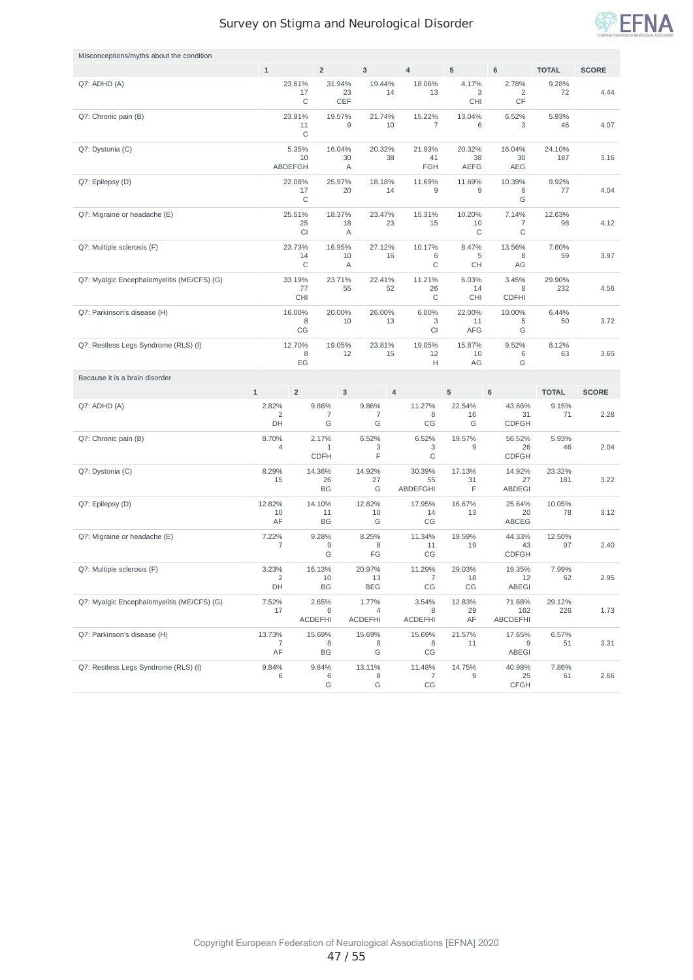

| Misconceptions/myths about the condition   |                               |                           |                              |           |                              |                |                                |                             |                                  |               |              |
|--------------------------------------------|-------------------------------|---------------------------|------------------------------|-----------|------------------------------|----------------|--------------------------------|-----------------------------|----------------------------------|---------------|--------------|
|                                            | $\mathbf 1$                   |                           | $\overline{2}$               |           | $\mathsf 3$                  |                | $\overline{4}$                 | 5                           | $\mathbf 6$                      | <b>TOTAL</b>  | <b>SCORE</b> |
| Q7: ADHD (A)                               |                               | 23.61%<br>17<br>C         | 31.94%                       | 23<br>CEF | 19.44%                       | 14             | 18.06%<br>13                   | 4.17%<br>3<br><b>CHI</b>    | 2.78%<br>2<br>CF                 | 9.28%<br>72   | 4.44         |
| Q7: Chronic pain (B)                       |                               | 23.91%<br>11<br>C         | 19.57%                       | 9         | 21.74%                       | 10             | 15.22%<br>7                    | 13.04%<br>6                 | 6.52%<br>3                       | 5.93%<br>46   | 4.07         |
| Q7: Dystonia (C)                           |                               | 5.35%<br>10<br>ABDEFGH    | 16.04%                       | 30<br>Α   | 20.32%                       | 38             | 21.93%<br>41<br><b>FGH</b>     | 20.32%<br>38<br><b>AEFG</b> | 16.04%<br>30<br>AEG              | 24.10%<br>187 | 3.16         |
| Q7: Epilepsy (D)                           |                               | 22.08%<br>17<br>C         | 25.97%                       | 20        | 18.18%                       | 14             | 11.69%<br>9                    | 11.69%<br>9                 | 10.39%<br>8<br>G                 | 9.92%<br>77   | 4.04         |
| Q7: Migraine or headache (E)               |                               | 25.51%<br>25<br><b>CI</b> | 18.37%                       | 18<br>Α   | 23.47%                       | 23             | 15.31%<br>15                   | 10.20%<br>10<br>C           | 7.14%<br>7<br>C                  | 12.63%<br>98  | 4.12         |
| Q7: Multiple sclerosis (F)                 |                               | 23.73%<br>14<br>C         | 16.95%                       | 10<br>Α   | 27.12%                       | 16             | 10.17%<br>6<br>С               | 8.47%<br>5<br>CН            | 13.56%<br>8<br>AG                | 7.60%<br>59   | 3.97         |
| Q7: Myalgic Encephalomyelitis (ME/CFS) (G) |                               | 33.19%<br>77<br>CHI       | 23.71%                       | 55        | 22.41%                       | 52             | 11.21%<br>26<br>С              | 6.03%<br>14<br><b>CHI</b>   | 3.45%<br>8<br><b>CDFHI</b>       | 29.90%<br>232 | 4.56         |
| Q7: Parkinson's disease (H)                |                               | 16.00%<br>8<br>CG         | 20.00%                       | 10        | 26.00%                       | 13             | 6.00%<br>3<br>CI               | 22.00%<br>11<br><b>AFG</b>  | 10.00%<br>5<br>G                 | 6.44%<br>50   | 3.72         |
| Q7: Restless Legs Syndrome (RLS) (I)       |                               | 12.70%<br>8<br>EG         | 19.05%                       | 12        | 23.81%                       | 15             | 19.05%<br>12<br>Н              | 15.87%<br>10<br>AG          | 9.52%<br>6<br>G                  | 8.12%<br>63   | 3.65         |
|                                            |                               |                           |                              |           |                              |                |                                |                             |                                  |               |              |
| Because it is a brain disorder             |                               |                           |                              |           |                              |                |                                |                             |                                  |               |              |
|                                            | $\mathbf{1}$                  | $\overline{2}$            |                              | 3         |                              | $\overline{4}$ |                                | 5                           | 6                                | <b>TOTAL</b>  | <b>SCORE</b> |
| Q7: ADHD (A)                               | 2.82%<br>$\overline{2}$<br>DH |                           | 9.86%<br>7<br>G              |           | 9.86%<br>7<br>G              |                | 11.27%<br>8<br>CG              | 22.54%<br>16<br>G           | 43.66%<br>31<br><b>CDFGH</b>     | 9.15%<br>71   | 2.28         |
| Q7: Chronic pain (B)                       | 8.70%<br>4                    |                           | 2.17%<br>1<br><b>CDFH</b>    |           | 6.52%<br>3<br>F              |                | 6.52%<br>3<br>C                | 19.57%<br>9                 | 56.52%<br>26<br><b>CDFGH</b>     | 5.93%<br>46   | 2.04         |
| Q7: Dystonia (C)                           | 8.29%<br>15                   |                           | 14.36%<br>26<br>BG           |           | 14.92%<br>27<br>G            |                | 30.39%<br>55<br>ABDEFGHI       | 17.13%<br>31<br>F           | 14.92%<br>27<br><b>ABDEGI</b>    | 23.32%<br>181 | 3.22         |
| Q7: Epilepsy (D)                           | 12.82%<br>10<br>AF            |                           | 14.10%<br>11<br>BG           |           | 12.82%<br>10<br>G            |                | 17.95%<br>14<br>CG             | 16.67%<br>13                | 25.64%<br>20<br>ABCEG            | 10.05%<br>78  | 3.12         |
| Q7: Migraine or headache (E)               | 7.22%<br>7                    |                           | 9.28%<br>9<br>G              |           | 8.25%<br>8<br>FG             |                | 11.34%<br>11<br>CG             | 19.59%<br>19                | 44.33%<br>43<br><b>CDFGH</b>     | 12.50%<br>97  | 2.40         |
| Q7: Multiple sclerosis (F)                 | 3.23%<br>$\overline{c}$<br>DH |                           | 16.13%<br>10<br>BG           |           | 20.97%<br>13<br><b>BEG</b>   |                | 11.29%<br>$\overline{7}$<br>CG | 29.03%<br>18<br>CG          | 19.35%<br>12<br><b>ABEGI</b>     | 7.99%<br>62   | 2.95         |
| Q7: Myalgic Encephalomyelitis (ME/CFS) (G) | 7.52%<br>17                   |                           | 2.65%<br>6<br><b>ACDEFHI</b> |           | 1.77%<br>4<br><b>ACDEFHI</b> |                | 3.54%<br>8<br><b>ACDEFHI</b>   | 12.83%<br>29<br>AF          | 71.68%<br>162<br><b>ABCDEFHI</b> | 29.12%<br>226 | 1.73         |
| Q7: Parkinson's disease (H)                | 13.73%<br>7<br>AF             |                           | 15.69%<br>8<br>BG            |           | 15.69%<br>8<br>G             |                | 15.69%<br>8<br>CG              | 21.57%<br>11                | 17.65%<br>9<br>ABEGI             | 6.57%<br>51   | 3.31         |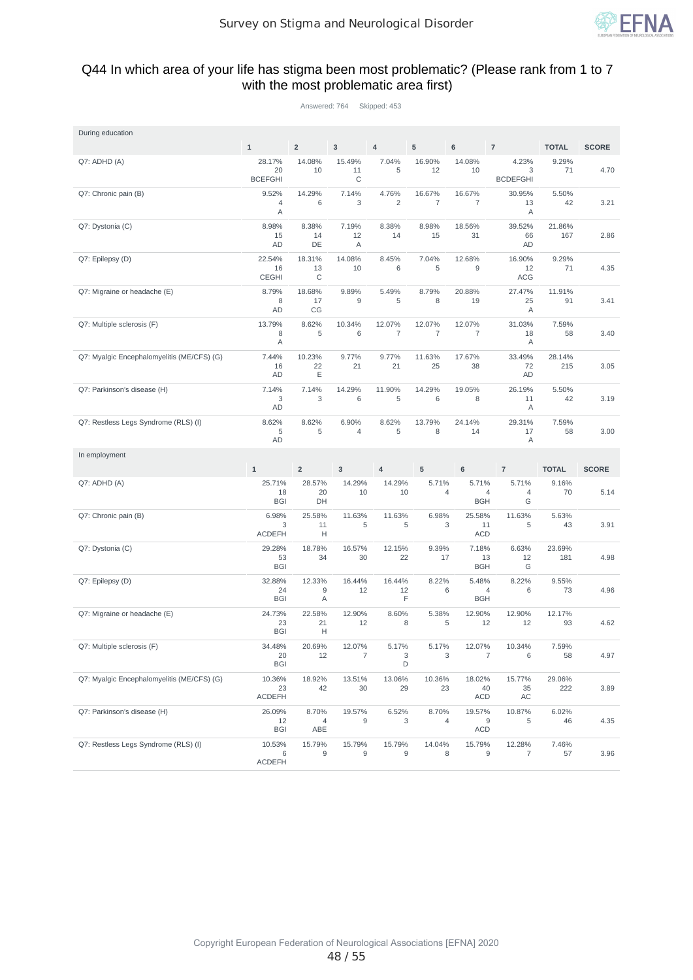

#### Q44 In which area of your life has stigma been most problematic? (Please rank from 1 to 7 with the most problematic area first)

Answered: 764 Skipped: 453

| During education                           |                                |                    |                   |                          |                          |                            |                               |               |              |
|--------------------------------------------|--------------------------------|--------------------|-------------------|--------------------------|--------------------------|----------------------------|-------------------------------|---------------|--------------|
|                                            | $\mathbf{1}$                   | $\overline{2}$     | 3                 | $\overline{4}$           | 5                        | 6                          | $\overline{7}$                | <b>TOTAL</b>  | <b>SCORE</b> |
| Q7: ADHD (A)                               | 28.17%<br>20<br><b>BCEFGHI</b> | 14.08%<br>10       | 15.49%<br>11<br>C | 7.04%<br>5               | 16.90%<br>12             | 14.08%<br>10               | 4.23%<br>3<br><b>BCDEFGHI</b> | 9.29%<br>71   | 4.70         |
| Q7: Chronic pain (B)                       | 9.52%<br>$\overline{4}$<br>Α   | 14.29%<br>6        | 7.14%<br>3        | 4.76%<br>$\overline{c}$  | 16.67%<br>$\overline{7}$ | 16.67%<br>7                | 30.95%<br>13<br>Α             | 5.50%<br>42   | 3.21         |
| Q7: Dystonia (C)                           | 8.98%<br>15<br>AD              | 8.38%<br>14<br>DE  | 7.19%<br>12<br>Α  | 8.38%<br>14              | 8.98%<br>15              | 18.56%<br>31               | 39.52%<br>66<br>AD            | 21.86%<br>167 | 2.86         |
| Q7: Epilepsy (D)                           | 22.54%<br>16<br><b>CEGHI</b>   | 18.31%<br>13<br>C  | 14.08%<br>10      | 8.45%<br>6               | 7.04%<br>5               | 12.68%<br>9                | 16.90%<br>12<br><b>ACG</b>    | 9.29%<br>71   | 4.35         |
| Q7: Migraine or headache (E)               | 8.79%<br>8<br>AD               | 18.68%<br>17<br>CG | 9.89%<br>9        | 5.49%<br>5               | 8.79%<br>8               | 20.88%<br>19               | 27.47%<br>25<br>Α             | 11.91%<br>91  | 3.41         |
| Q7: Multiple sclerosis (F)                 | 13.79%<br>8<br>Α               | 8.62%<br>5         | 10.34%<br>6       | 12.07%<br>$\overline{7}$ | 12.07%<br>$\overline{7}$ | 12.07%<br>7                | 31.03%<br>18<br>Α             | 7.59%<br>58   | 3.40         |
| Q7: Myalgic Encephalomyelitis (ME/CFS) (G) | 7.44%<br>16<br><b>AD</b>       | 10.23%<br>22<br>Ε  | 9.77%<br>21       | 9.77%<br>21              | 11.63%<br>25             | 17.67%<br>38               | 33.49%<br>72<br>AD            | 28.14%<br>215 | 3.05         |
| Q7: Parkinson's disease (H)                | 7.14%<br>3<br>AD               | 7.14%<br>3         | 14.29%<br>6       | 11.90%<br>5              | 14.29%<br>6              | 19.05%<br>8                | 26.19%<br>11<br>Α             | 5.50%<br>42   | 3.19         |
| Q7: Restless Legs Syndrome (RLS) (I)       | 8.62%<br>5<br>AD               | 8.62%<br>5         | 6.90%<br>4        | 8.62%<br>5               | 13.79%<br>8              | 24.14%<br>14               | 29.31%<br>17<br>Α             | 7.59%<br>58   | 3.00         |
|                                            |                                |                    |                   |                          |                          |                            |                               |               |              |
| In employment                              |                                |                    |                   |                          |                          |                            |                               |               |              |
|                                            | $\mathbf{1}$                   | $\overline{2}$     | $\overline{3}$    | $\overline{4}$           | 5                        | 6                          | $\overline{7}$                | <b>TOTAL</b>  | <b>SCORE</b> |
| Q7: ADHD (A)                               | 25.71%<br>18<br><b>BGI</b>     | 28.57%<br>20<br>DH | 14.29%<br>10      | 14.29%<br>10             | 5.71%<br>$\overline{4}$  | 5.71%<br><b>BGH</b>        | 5.71%<br>4<br>4<br>G          | 9.16%<br>70   | 5.14         |
| Q7: Chronic pain (B)                       | 6.98%<br>3<br><b>ACDEFH</b>    | 25.58%<br>11<br>Н  | 11.63%<br>5       | 11.63%<br>5              | 6.98%<br>3               | 25.58%<br>11<br><b>ACD</b> | 11.63%<br>5                   | 5.63%<br>43   | 3.91         |
| Q7: Dystonia (C)                           | 29.28%<br>53<br><b>BGI</b>     | 18.78%<br>34       | 16.57%<br>30      | 12.15%<br>22             | 9.39%<br>17              | 7.18%<br>13<br><b>BGH</b>  | 6.63%<br>12<br>G              | 23.69%<br>181 | 4.98         |
| Q7: Epilepsy (D)                           | 32.88%<br>24<br><b>BGI</b>     | 12.33%<br>9<br>Α   | 16.44%<br>12      | 16.44%<br>12<br>F        | 8.22%<br>6               | 5.48%<br>4<br><b>BGH</b>   | 8.22%<br>6                    | 9.55%<br>73   | 4.96         |
| Q7: Migraine or headache (E)               | 24.73%<br>23<br><b>BGI</b>     | 22.58%<br>21<br>Н  | 12.90%<br>12      | 8.60%<br>8               | 5.38%<br>5               | 12.90%<br>12               | 12.90%<br>12                  | 12.17%<br>93  | 4.62         |
| Q7: Multiple sclerosis (F)                 | 34.48%<br>20<br><b>BGI</b>     | 20.69%<br>12       | 12.07%<br>7       | 5.17%<br>3<br>D          | 5.17%<br>3               | 12.07%                     | 10.34%<br>7<br>6              | 7.59%<br>58   | 4.97         |
| Q7: Myalgic Encephalomyelitis (ME/CFS) (G) | 10.36%<br>23<br><b>ACDEFH</b>  | 18.92%<br>42       | 13.51%<br>$30\,$  | 13.06%<br>29             | 10.36%<br>23             | 18.02%<br>40<br><b>ACD</b> | 15.77%<br>35<br>AC            | 29.06%<br>222 | 3.89         |
| Q7: Parkinson's disease (H)                | 26.09%<br>12<br><b>BGI</b>     | 8.70%<br>4<br>ABE  | 19.57%<br>9       | 6.52%<br>3               | 8.70%<br>4               | 19.57%<br><b>ACD</b>       | 10.87%<br>9<br>5              | 6.02%<br>46   | 4.35         |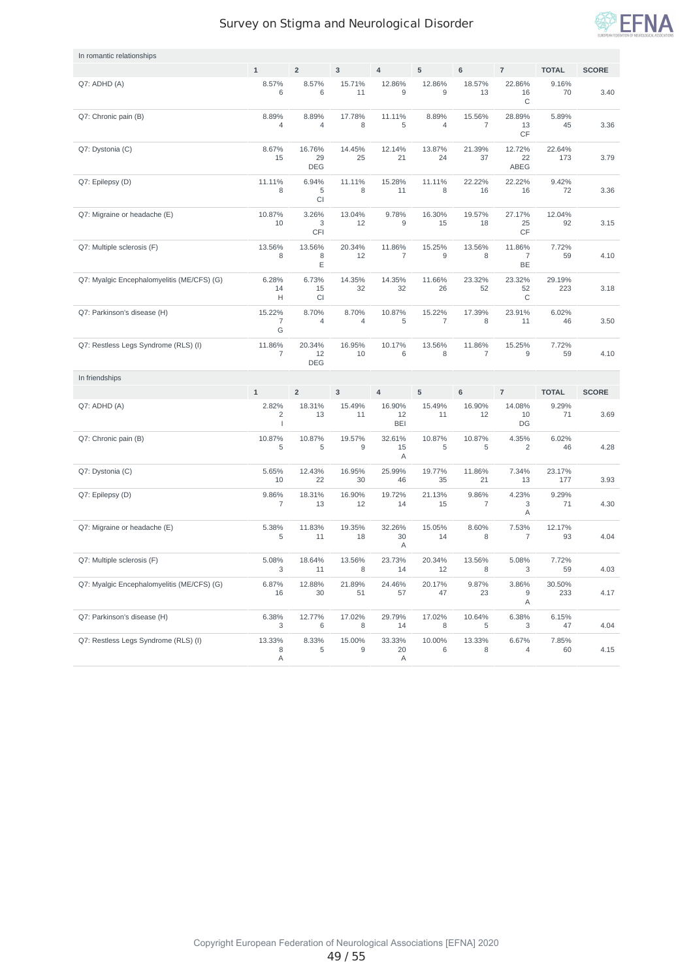

| In romantic relationships                  |                                           |                            |                         |                          |              |                          |                                           |               |              |
|--------------------------------------------|-------------------------------------------|----------------------------|-------------------------|--------------------------|--------------|--------------------------|-------------------------------------------|---------------|--------------|
|                                            | $\mathbf{1}$                              | $\overline{2}$             | 3                       | $\overline{4}$           | 5            | $\bf 6$                  | $\overline{7}$                            | <b>TOTAL</b>  | <b>SCORE</b> |
| Q7: ADHD (A)                               | 8.57%<br>6                                | 8.57%<br>6                 | 15.71%<br>11            | 12.86%<br>9              | 12.86%<br>9  | 18.57%<br>13             | 22.86%<br>16<br>С                         | 9.16%<br>70   | 3.40         |
| Q7: Chronic pain (B)                       | 8.89%<br>4                                | 8.89%<br>4                 | 17.78%<br>8             | 11.11%<br>5              | 8.89%<br>4   | 15.56%<br>$\overline{7}$ | 28.89%<br>13<br>CF                        | 5.89%<br>45   | 3.36         |
| Q7: Dystonia (C)                           | 8.67%<br>15                               | 16.76%<br>29<br><b>DEG</b> | 14.45%<br>25            | 12.14%<br>21             | 13.87%<br>24 | 21.39%<br>37             | 12.72%<br>22<br>ABEG                      | 22.64%<br>173 | 3.79         |
| Q7: Epilepsy (D)                           | 11.11%<br>8                               | 6.94%<br>5<br>CI           | 11.11%<br>8             | 15.28%<br>11             | 11.11%<br>8  | 22.22%<br>16             | 22.22%<br>16                              | 9.42%<br>72   | 3.36         |
| Q7: Migraine or headache (E)               | 10.87%<br>10                              | 3.26%<br>3<br>CFI          | 13.04%<br>12            | 9.78%<br>9               | 16.30%<br>15 | 19.57%<br>18             | 27.17%<br>25<br>$\mathsf{CF}$             | 12.04%<br>92  | 3.15         |
| Q7: Multiple sclerosis (F)                 | 13.56%<br>8                               | 13.56%<br>8<br>Ε           | 20.34%<br>12            | 11.86%<br>$\overline{7}$ | 15.25%<br>9  | 13.56%<br>8              | 11.86%<br>$\overline{\mathfrak{c}}$<br>BE | 7.72%<br>59   | 4.10         |
| Q7: Myalgic Encephalomyelitis (ME/CFS) (G) | 6.28%<br>14<br>н                          | 6.73%<br>15<br>CI          | 14.35%<br>32            | 14.35%<br>32             | 11.66%<br>26 | 23.32%<br>52             | 23.32%<br>52<br>С                         | 29.19%<br>223 | 3.18         |
| Q7: Parkinson's disease (H)                | 15.22%<br>$\overline{7}$<br>G             | 8.70%<br>4                 | 8.70%<br>$\overline{4}$ | 10.87%<br>5              | 15.22%<br>7  | 17.39%<br>8              | 23.91%<br>11                              | 6.02%<br>46   | 3.50         |
| Q7: Restless Legs Syndrome (RLS) (I)       | 11.86%<br>$\overline{7}$                  | 20.34%<br>12<br><b>DEG</b> | 16.95%<br>10            | 10.17%<br>6              | 13.56%<br>8  | 11.86%<br>$\overline{7}$ | 15.25%<br>9                               | 7.72%<br>59   | 4.10         |
| In friendships                             |                                           |                            |                         |                          |              |                          |                                           |               |              |
|                                            | $\mathbf{1}$                              | $\overline{2}$             | 3                       | $\overline{4}$           | 5            | $\bf 6$                  | $\overline{7}$                            | <b>TOTAL</b>  | <b>SCORE</b> |
| Q7: ADHD (A)                               | 2.82%<br>$\overline{c}$<br>$\overline{1}$ | 18.31%<br>13               | 15.49%<br>11            | 16.90%<br>12<br>BEI      | 15.49%<br>11 | 16.90%<br>12             | 14.08%<br>10<br>DG                        | 9.29%<br>71   | 3.69         |
| Q7: Chronic pain (B)                       | 10.87%<br>5                               | 10.87%<br>5                | 19.57%<br>9             | 32.61%                   | 10.87%       | 10.87%                   |                                           |               |              |
|                                            |                                           |                            |                         | 15<br>Α                  | 5            | 5                        | 4.35%<br>$\overline{c}$                   | 6.02%<br>46   | 4.28         |
| Q7: Dystonia (C)                           | 5.65%<br>10                               | 12.43%<br>22               | 16.95%<br>30            | 25.99%<br>46             | 19.77%<br>35 | 11.86%<br>21             | 7.34%<br>13                               | 23.17%<br>177 | 3.93         |
| Q7: Epilepsy (D)                           | 9.86%<br>7                                | 18.31%<br>13               | 16.90%<br>12            | 19.72%<br>14             | 21.13%<br>15 | 9.86%<br>7               | 4.23%<br>3<br>Α                           | 9.29%<br>71   | 4.30         |
| Q7: Migraine or headache (E)               | 5.38%<br>5                                | 11.83%<br>11               | 19.35%<br>18            | 32.26%<br>30<br>Α        | 15.05%<br>14 | 8.60%<br>8               | 7.53%<br>$\overline{\mathfrak{c}}$        | 12.17%<br>93  | 4.04         |
| Q7: Multiple sclerosis (F)                 | 5.08%<br>3                                | 18.64%<br>11               | 13.56%<br>8             | 23.73%<br>14             | 20.34%<br>12 | 13.56%<br>8              | 5.08%<br>3                                | 7.72%<br>59   | 4.03         |
| Q7: Myalgic Encephalomyelitis (ME/CFS) (G) | 6.87%<br>16                               | 12.88%<br>30               | 21.89%<br>51            | 24.46%<br>57             | 20.17%<br>47 | 9.87%<br>23              | 3.86%<br>9<br>Α                           | 30.50%<br>233 | 4.17         |
| Q7: Parkinson's disease (H)                | 6.38%<br>3                                | 12.77%<br>6                | 17.02%<br>8             | 29.79%<br>14             | 17.02%<br>8  | 10.64%<br>5              | 6.38%<br>3                                | 6.15%<br>47   | 4.04         |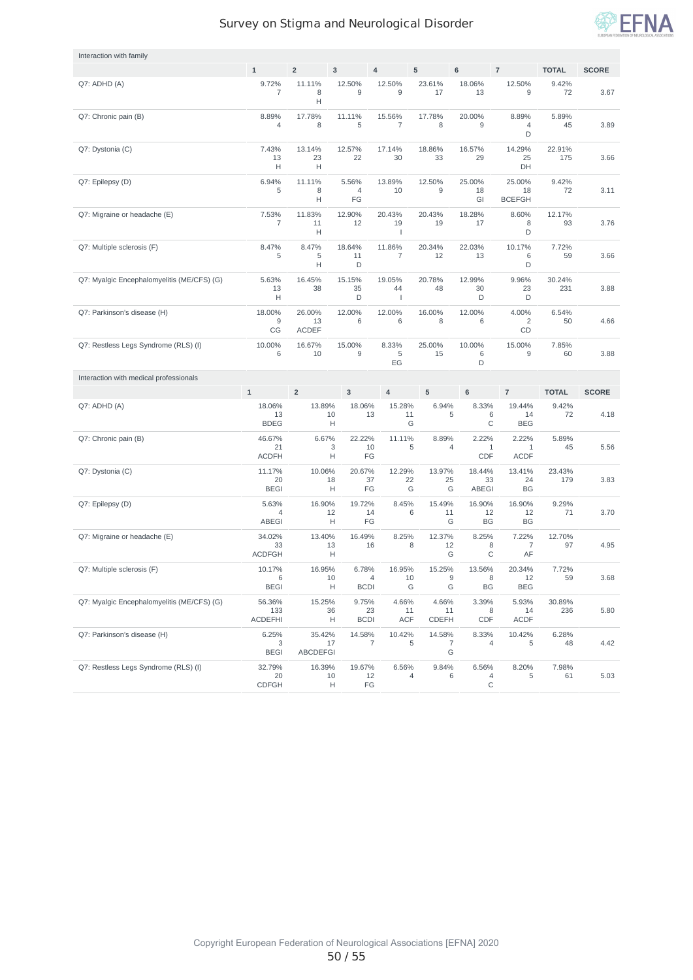

| Interaction with family                    |                                 |                              |                                       |                                          |                        |                              |                                      |               |              |
|--------------------------------------------|---------------------------------|------------------------------|---------------------------------------|------------------------------------------|------------------------|------------------------------|--------------------------------------|---------------|--------------|
|                                            | $\mathbf 1$                     | $\mathbf 2$                  | $\mathsf 3$                           | $\overline{4}$                           | 5                      | 6                            | $\overline{7}$                       | <b>TOTAL</b>  | <b>SCORE</b> |
| Q7: ADHD (A)                               | 9.72%<br>7                      | 11.11%<br>8<br>н             | 12.50%<br>9                           | 12.50%<br>9                              | 23.61%<br>17           | 18.06%<br>13                 | 12.50%<br>9                          | 9.42%<br>72   | 3.67         |
| Q7: Chronic pain (B)                       | 8.89%<br>4                      | 17.78%<br>8                  | 11.11%<br>5                           | 15.56%<br>$\overline{7}$                 | 17.78%<br>8            | 20.00%<br>9                  | 8.89%<br>4<br>D                      | 5.89%<br>45   | 3.89         |
| Q7: Dystonia (C)                           | 7.43%<br>13<br>Н                | 13.14%<br>23<br>Н            | 12.57%<br>22                          | 17.14%<br>30                             | 18.86%<br>33           | 16.57%<br>29                 | 14.29%<br>25<br>DH                   | 22.91%<br>175 | 3.66         |
| Q7: Epilepsy (D)                           | 6.94%<br>5                      | 11.11%<br>8<br>Н             | 5.56%<br>4<br>FG                      | 13.89%<br>10                             | 12.50%<br>9            | 25.00%<br>18<br>GI           | 25.00%<br>18<br><b>BCEFGH</b>        | 9.42%<br>72   | 3.11         |
| Q7: Migraine or headache (E)               | 7.53%<br>7                      | 11.83%<br>11<br>Н            | 12.90%<br>12                          | 20.43%<br>19<br>$\overline{\phantom{a}}$ | 20.43%<br>19           | 18.28%<br>17                 | 8.60%<br>8<br>D                      | 12.17%<br>93  | 3.76         |
| Q7: Multiple sclerosis (F)                 | 8.47%<br>5                      | 8.47%<br>5<br>н              | 18.64%<br>11<br>D                     | 11.86%<br>$\overline{7}$                 | 20.34%<br>12           | 22.03%<br>13                 | 10.17%<br>6<br>D                     | 7.72%<br>59   | 3.66         |
| Q7: Myalgic Encephalomyelitis (ME/CFS) (G) | 5.63%<br>13<br>Н                | 16.45%<br>38                 | 15.15%<br>35<br>D                     | 19.05%<br>44<br>$\overline{\phantom{a}}$ | 20.78%<br>48           | 12.99%<br>30<br>D            | 9.96%<br>23<br>D                     | 30.24%<br>231 | 3.88         |
| Q7: Parkinson's disease (H)                | 18.00%<br>9<br>CG               | 26.00%<br>13<br><b>ACDEF</b> | 12.00%<br>6                           | 12.00%<br>6                              | 16.00%<br>8            | 12.00%<br>6                  | 4.00%<br>2<br>CD                     | 6.54%<br>50   | 4.66         |
| Q7: Restless Legs Syndrome (RLS) (I)       | 10.00%<br>6                     | 16.67%<br>10                 | 15.00%<br>9                           | 8.33%<br>5                               | 25.00%<br>15           | 10.00%<br>6                  | 15.00%<br>9                          | 7.85%<br>60   | 3.88         |
|                                            |                                 |                              |                                       | EG                                       |                        | D                            |                                      |               |              |
| Interaction with medical professionals     |                                 |                              |                                       |                                          |                        |                              |                                      |               |              |
|                                            | $\mathbf{1}$                    | $\overline{2}$               | 3                                     | $\overline{4}$                           | 5                      | 6                            | $\overline{7}$                       | <b>TOTAL</b>  | <b>SCORE</b> |
| Q7: ADHD (A)                               | 18.06%<br>13<br><b>BDEG</b>     | 13.89%                       | 18.06%<br>13<br>10<br>Н               | 15.28%<br>11                             | 6.94%<br>5<br>G        | 8.33%<br>6<br>C              | 19.44%<br>14<br><b>BEG</b>           | 9.42%<br>72   | 4.18         |
| Q7: Chronic pain (B)                       | 46.67%<br>21<br><b>ACDFH</b>    | 6.67%                        | 22.22%<br>10<br>3<br>FG<br>Н          | 11.11%                                   | 8.89%<br>5<br>4        | 2.22%<br>1<br>CDF            | 2.22%<br>$\mathbf{1}$<br><b>ACDF</b> | 5.89%<br>45   | 5.56         |
| Q7: Dystonia (C)                           | 11.17%<br>20<br><b>BEGI</b>     | 10.06%                       | 20.67%<br>18<br>37<br>FG<br>Н         | 12.29%<br>22<br>G                        | 13.97%<br>25<br>G      | 18.44%<br>33<br><b>ABEGI</b> | 13.41%<br>24<br><b>BG</b>            | 23.43%<br>179 | 3.83         |
| Q7: Epilepsy (D)                           | 5.63%<br>4<br><b>ABEGI</b>      | 16.90%                       | 19.72%<br>12<br>14<br>FG<br>Н         | 8.45%                                    | 15.49%<br>6<br>11<br>G | 16.90%<br>12<br>BG           | 16.90%<br>12<br>BG                   | 9.29%<br>71   | 3.70         |
| Q7: Migraine or headache (E)               | 34.02%<br>33<br><b>ACDFGH</b>   | 13.40%                       | 16.49%<br>13<br>16<br>Н               | 8.25%                                    | 12.37%<br>8<br>12<br>G | 8.25%<br>8<br>C              | 7.22%<br>7<br>AF                     | 12.70%<br>97  | 4.95         |
| Q7: Multiple sclerosis (F)                 | 10.17%<br>6<br><b>BEGI</b>      | 16.95%                       | 6.78%<br>10<br>H<br><b>BCDI</b>       | 16.95%<br>10<br>4                        | 15.25%<br>9<br>G<br>G  | 13.56%<br>8<br>BG            | 20.34%<br>12<br><b>BEG</b>           | 7.72%<br>59   | 3.68         |
| Q7: Myalgic Encephalomyelitis (ME/CFS) (G) | 56.36%<br>133<br><b>ACDEFHI</b> | 15.25%                       | 9.75%<br>23<br>36<br>Н<br><b>BCDI</b> | 4.66%<br>11<br>ACF                       | 4.66%<br>11<br>CDEFH   | 3.39%<br>8<br>CDF            | 5.93%<br>14<br><b>ACDF</b>           | 30.89%<br>236 | 5.80         |
| Q7: Parkinson's disease (H)                | 6.25%<br>3<br><b>BEGI</b>       | 35.42%<br><b>ABCDEFGI</b>    | 14.58%<br>17                          | 10.42%<br>7                              | 14.58%<br>5<br>7<br>G  | 8.33%<br>4                   | 10.42%<br>5                          | 6.28%<br>48   | 4.42         |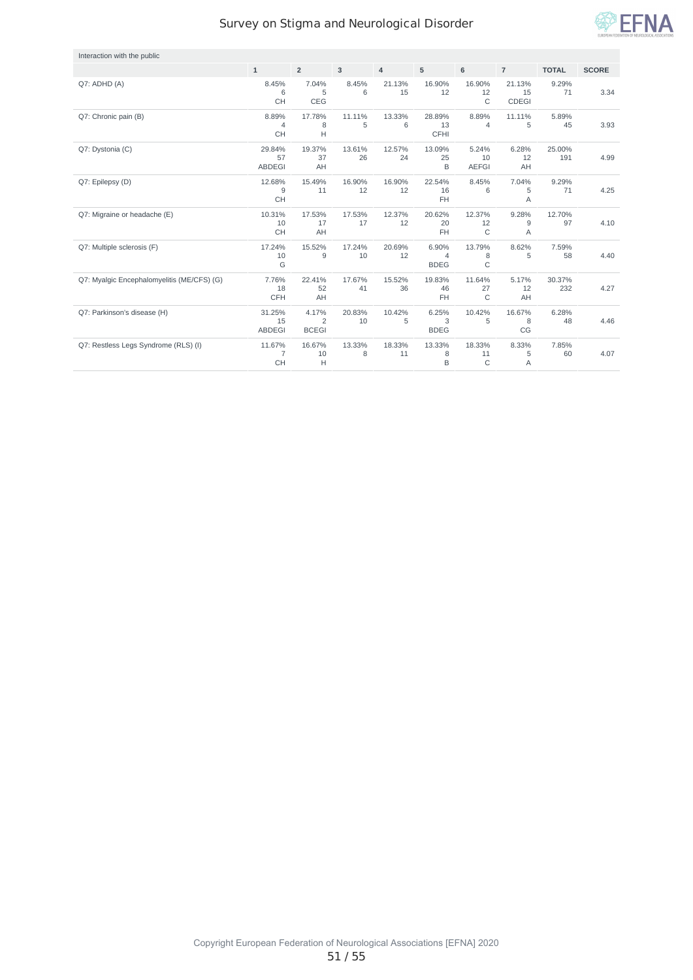

| Interaction with the public                |                                |                                         |              |                |                                        |                              |                              |               |              |
|--------------------------------------------|--------------------------------|-----------------------------------------|--------------|----------------|----------------------------------------|------------------------------|------------------------------|---------------|--------------|
|                                            | $\mathbf{1}$                   | $\overline{2}$                          | 3            | $\overline{4}$ | 5                                      | $6\phantom{a}$               | $\overline{7}$               | <b>TOTAL</b>  | <b>SCORE</b> |
| Q7: ADHD (A)                               | 8.45%<br>6<br><b>CH</b>        | 7.04%<br>5<br>CEG                       | 8.45%<br>6   | 21.13%<br>15   | 16.90%<br>12                           | 16.90%<br>12<br>$\mathsf{C}$ | 21.13%<br>15<br><b>CDEGI</b> | 9.29%<br>71   | 3.34         |
| Q7: Chronic pain (B)                       | 8.89%<br>4<br><b>CH</b>        | 17.78%<br>8<br>H                        | 11.11%<br>5  | 13.33%<br>6    | 28.89%<br>13<br><b>CFHI</b>            | 8.89%<br>4                   | 11.11%<br>5                  | 5.89%<br>45   | 3.93         |
| Q7: Dystonia (C)                           | 29.84%<br>57<br><b>ABDEGI</b>  | 19.37%<br>37<br>AH                      | 13.61%<br>26 | 12.57%<br>24   | 13.09%<br>25<br>B                      | 5.24%<br>10<br><b>AEFGI</b>  | 6.28%<br>12<br>AH            | 25.00%<br>191 | 4.99         |
| Q7: Epilepsy (D)                           | 12.68%<br>9<br><b>CH</b>       | 15.49%<br>11                            | 16.90%<br>12 | 16.90%<br>12   | 22.54%<br>16<br>FH                     | 8.45%<br>6                   | 7.04%<br>5<br>Α              | 9.29%<br>71   | 4.25         |
| Q7: Migraine or headache (E)               | 10.31%<br>10<br>CH             | 17.53%<br>17<br>AH                      | 17.53%<br>17 | 12.37%<br>12   | 20.62%<br>20<br><b>FH</b>              | 12.37%<br>12<br>$\mathsf{C}$ | 9.28%<br>9<br>Α              | 12.70%<br>97  | 4.10         |
| Q7: Multiple sclerosis (F)                 | 17.24%<br>10<br>G              | 15.52%<br>9                             | 17.24%<br>10 | 20.69%<br>12   | 6.90%<br>$\overline{4}$<br><b>BDEG</b> | 13.79%<br>8<br>$\mathsf{C}$  | 8.62%<br>5                   | 7.59%<br>58   | 4.40         |
| Q7: Myalgic Encephalomyelitis (ME/CFS) (G) | 7.76%<br>18<br><b>CFH</b>      | 22.41%<br>52<br>AH                      | 17.67%<br>41 | 15.52%<br>36   | 19.83%<br>46<br>FH                     | 11.64%<br>27<br>$\mathsf C$  | 5.17%<br>12<br>AH            | 30.37%<br>232 | 4.27         |
| Q7: Parkinson's disease (H)                | 31.25%<br>15<br><b>ABDEGI</b>  | 4.17%<br>$\overline{c}$<br><b>BCEGI</b> | 20.83%<br>10 | 10.42%<br>5    | 6.25%<br>3<br><b>BDEG</b>              | 10.42%<br>5                  | 16.67%<br>8<br>CG            | 6.28%<br>48   | 4.46         |
| Q7: Restless Legs Syndrome (RLS) (I)       | 11.67%<br>$\overline{7}$<br>CH | 16.67%<br>10<br>H                       | 13.33%<br>8  | 18.33%<br>11   | 13.33%<br>8<br>B                       | 18.33%<br>11<br>C            | 8.33%<br>5<br>A              | 7.85%<br>60   | 4.07         |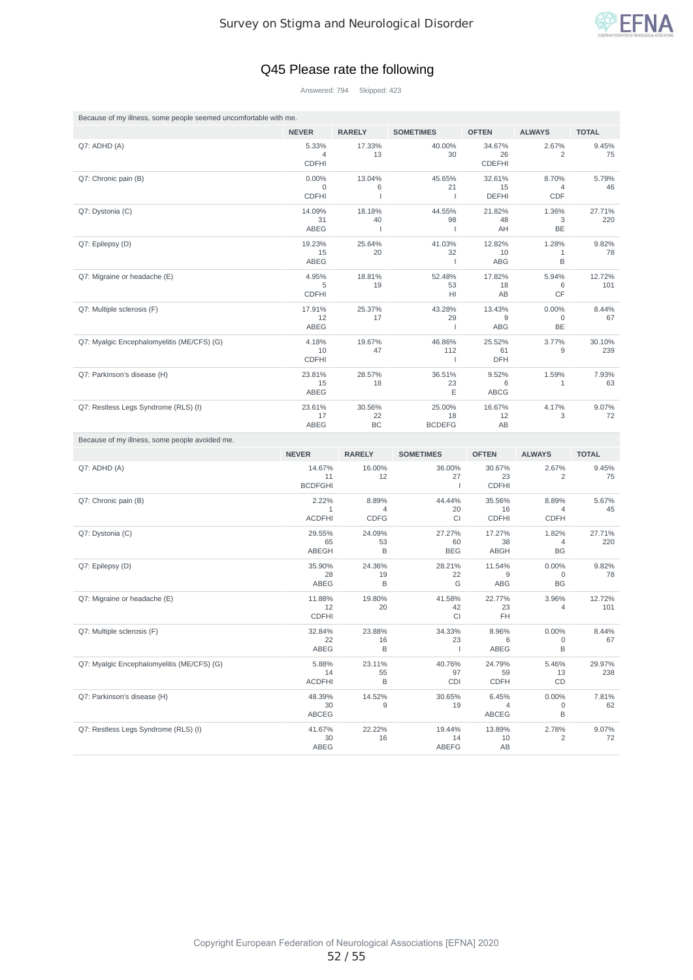

#### Q45 Please rate the following

Answered: 794 Skipped: 423

| Because of my illness, some people seemed uncomfortable with me. |                                      |                               |                                 |                               |                                   |               |  |  |  |  |  |  |
|------------------------------------------------------------------|--------------------------------------|-------------------------------|---------------------------------|-------------------------------|-----------------------------------|---------------|--|--|--|--|--|--|
|                                                                  | <b>NEVER</b>                         | <b>RARELY</b>                 | <b>SOMETIMES</b>                | <b>OFTEN</b>                  | <b>ALWAYS</b>                     | <b>TOTAL</b>  |  |  |  |  |  |  |
| Q7: ADHD (A)                                                     | 5.33%<br>4<br><b>CDFHI</b>           | 17.33%<br>13                  | 40.00%<br>30                    | 34.67%<br>26<br><b>CDEFHI</b> | 2.67%<br>$\overline{c}$           | 9.45%<br>75   |  |  |  |  |  |  |
| Q7: Chronic pain (B)                                             | 0.00%<br>$\mathbf 0$<br><b>CDFHI</b> | 13.04%<br>6<br>$\overline{1}$ | 45.65%<br>21<br>$\mathbf{I}$    | 32.61%<br>15<br><b>DEFHI</b>  | 8.70%<br>4<br>CDF                 | 5.79%<br>46   |  |  |  |  |  |  |
| Q7: Dystonia (C)                                                 | 14.09%<br>31<br>ABEG                 | 18.18%<br>40<br>J.            | 44.55%<br>98<br>$\mathbf{I}$    | 21.82%<br>48<br>AH            | 1.36%<br>3<br>BE                  | 27.71%<br>220 |  |  |  |  |  |  |
| Q7: Epilepsy (D)                                                 | 19.23%<br>15<br>ABEG                 | 25.64%<br>20                  | 41.03%<br>32<br>$\mathbf{I}$    | 12.82%<br>10<br>ABG           | 1.28%<br>1<br>B                   | 9.82%<br>78   |  |  |  |  |  |  |
| Q7: Migraine or headache (E)                                     | 4.95%<br>5<br><b>CDFHI</b>           | 18.81%<br>19                  | 52.48%<br>53<br>HI              | 17.82%<br>18<br>AB            | 5.94%<br>6<br>CF                  | 12.72%<br>101 |  |  |  |  |  |  |
| Q7: Multiple sclerosis (F)                                       | 17.91%<br>12<br>ABEG                 | 25.37%<br>17                  | 43.28%<br>29<br>$\mathbf{I}$    | 13.43%<br>9<br>ABG            | 0.00%<br>0<br>BE                  | 8.44%<br>67   |  |  |  |  |  |  |
| Q7: Myalgic Encephalomyelitis (ME/CFS) (G)                       | 4.18%<br>10<br><b>CDFHI</b>          | 19.67%<br>47                  | 46.86%<br>112<br>$\overline{1}$ | 25.52%<br>61<br>DFH           | 3.77%<br>9                        | 30.10%<br>239 |  |  |  |  |  |  |
| Q7: Parkinson's disease (H)                                      | 23.81%<br>15<br>ABEG                 | 28.57%<br>18                  | 36.51%<br>23<br>Ε               | 9.52%<br>6<br><b>ABCG</b>     | 1.59%<br>$\mathbf{1}$             | 7.93%<br>63   |  |  |  |  |  |  |
| Q7: Restless Legs Syndrome (RLS) (I)                             | 23.61%<br>17<br>ABEG                 | 30.56%<br>22<br>BC            | 25.00%<br>18<br><b>BCDEFG</b>   | 16.67%<br>12<br>AB            | 4.17%<br>3                        | 9.07%<br>72   |  |  |  |  |  |  |
|                                                                  |                                      |                               |                                 |                               |                                   |               |  |  |  |  |  |  |
| Because of my illness, some people avoided me.                   | <b>NEVER</b>                         | <b>RARELY</b>                 | <b>SOMETIMES</b>                | <b>OFTEN</b>                  | <b>ALWAYS</b>                     | <b>TOTAL</b>  |  |  |  |  |  |  |
| Q7: ADHD (A)                                                     | 14.67%<br>11<br><b>BCDFGHI</b>       | 16.00%<br>12                  | 36.00%<br>27<br>$\mathbf{I}$    | 30.67%<br>23<br><b>CDFHI</b>  | 2.67%<br>2                        | 9.45%<br>75   |  |  |  |  |  |  |
| Q7: Chronic pain (B)                                             | 2.22%<br>1<br><b>ACDFHI</b>          | 8.89%<br>4<br><b>CDFG</b>     | 44.44%<br>20<br>CI              | 35.56%<br>16<br><b>CDFHI</b>  | 8.89%<br>4<br><b>CDFH</b>         | 5.67%<br>45   |  |  |  |  |  |  |
| Q7: Dystonia (C)                                                 | 29.55%<br>65<br>ABEGH                | 24.09%<br>53<br>B             | 27.27%<br>60<br><b>BEG</b>      | 17.27%<br>38<br>ABGH          | 1.82%<br>4<br>BG                  | 27.71%<br>220 |  |  |  |  |  |  |
| Q7: Epilepsy (D)                                                 | 35.90%<br>28<br>ABEG                 | 24.36%<br>19<br>B             | 28.21%<br>22<br>G               | 11.54%<br>9<br><b>ABG</b>     | 0.00%<br>0<br>BG                  | 9.82%<br>78   |  |  |  |  |  |  |
| Q7: Migraine or headache (E)                                     | 11.88%<br>12<br><b>CDFHI</b>         | 19.80%<br>20                  | 41.58%<br>42<br>CI              | 22.77%<br>23<br>FH            | 3.96%<br>4                        | 12.72%<br>101 |  |  |  |  |  |  |
| Q7: Multiple sclerosis (F)                                       | 32.84%<br>22<br>ABEG                 | 23.88%<br>16<br>B             | 34.33%<br>23<br>$\mathbf{I}$    | 8.96%<br>6<br>ABEG            | 0.00%<br>$\mathsf{O}\xspace$<br>В | 8.44%<br>67   |  |  |  |  |  |  |
| Q7: Myalgic Encephalomyelitis (ME/CFS) (G)                       | 5.88%<br>14<br><b>ACDFHI</b>         | 23.11%<br>55<br>B             | 40.76%<br>97<br>CDI             | 24.79%<br>59<br>CDFH          | 5.46%<br>13<br>CD                 | 29.97%<br>238 |  |  |  |  |  |  |
| Q7: Parkinson's disease (H)                                      | 48.39%<br>30<br>ABCEG                | 14.52%<br>9                   | 30.65%<br>19                    | 6.45%<br>4<br>ABCEG           | 0.00%<br>0<br>В                   | 7.81%<br>62   |  |  |  |  |  |  |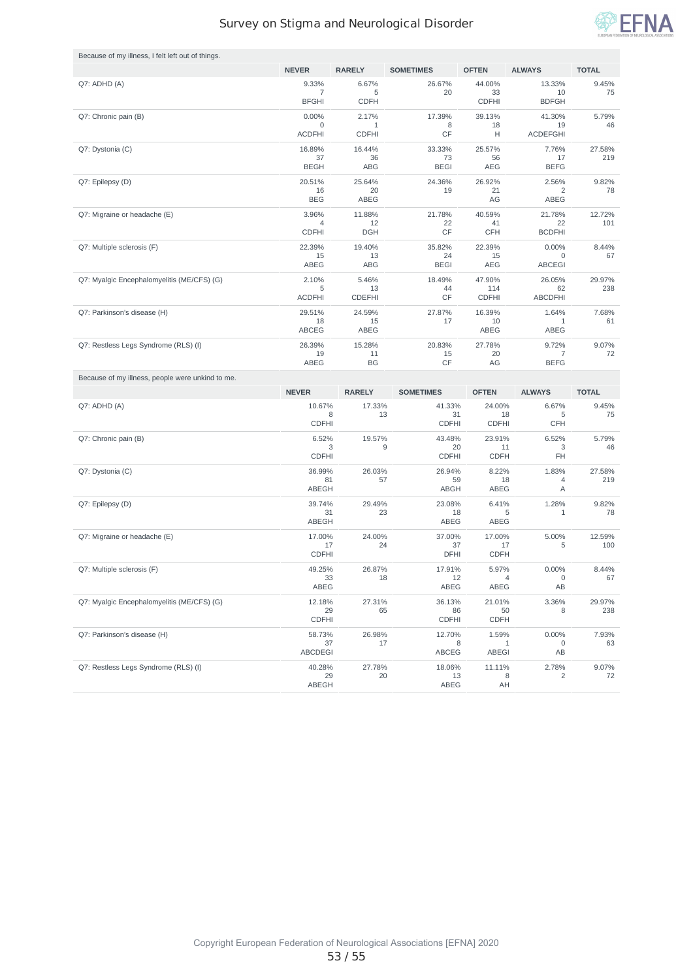

| Because of my illness, I felt left out of things. |                                         |                           |                              |                              |                              |               |
|---------------------------------------------------|-----------------------------------------|---------------------------|------------------------------|------------------------------|------------------------------|---------------|
|                                                   | <b>NEVER</b>                            | <b>RARELY</b>             | <b>SOMETIMES</b>             | <b>OFTEN</b>                 | <b>ALWAYS</b>                | <b>TOTAL</b>  |
| Q7: ADHD (A)                                      | 9.33%<br>$\overline{7}$<br><b>BFGHI</b> | 6.67%<br>5<br><b>CDFH</b> | 26.67%<br>20                 | 44.00%<br>33<br><b>CDFHI</b> | 13.33%<br>10<br><b>BDFGH</b> | 9.45%<br>75   |
| Q7: Chronic pain (B)                              | 0.00%                                   | 2.17%                     | 17.39%                       | 39.13%                       | 41.30%                       | 5.79%         |
|                                                   | $\mathbf 0$<br><b>ACDFHI</b>            | 1<br><b>CDFHI</b>         | 8<br>CF                      | 18<br>Н                      | 19<br><b>ACDEFGHI</b>        | 46            |
| Q7: Dystonia (C)                                  | 16.89%                                  | 16.44%                    | 33.33%                       | 25.57%                       | 7.76%                        | 27.58%        |
|                                                   | 37<br><b>BEGH</b>                       | 36<br>ABG                 | 73<br><b>BEGI</b>            | 56<br><b>AEG</b>             | 17<br><b>BEFG</b>            | 219           |
| Q7: Epilepsy (D)                                  | 20.51%                                  | 25.64%                    | 24.36%                       | 26.92%                       | 2.56%                        | 9.82%         |
|                                                   | 16                                      | 20                        | 19                           | 21                           | 2                            | 78            |
|                                                   | <b>BEG</b>                              | ABEG                      |                              | AG                           | ABEG                         |               |
| Q7: Migraine or headache (E)                      | 3.96%<br>4                              | 11.88%<br>12              | 21.78%<br>22                 | 40.59%<br>41                 | 21.78%<br>22                 | 12.72%<br>101 |
|                                                   | <b>CDFHI</b>                            | <b>DGH</b>                | CF                           | <b>CFH</b>                   | <b>BCDFHI</b>                |               |
| Q7: Multiple sclerosis (F)                        | 22.39%<br>15                            | 19.40%<br>13              | 35.82%<br>24                 | 22.39%<br>15                 | 0.00%<br>0                   | 8.44%<br>67   |
|                                                   | ABEG                                    | ABG                       | <b>BEGI</b>                  | <b>AEG</b>                   | <b>ABCEGI</b>                |               |
| Q7: Myalgic Encephalomyelitis (ME/CFS) (G)        | 2.10%<br>5                              | 5.46%<br>13               | 18.49%<br>44                 | 47.90%<br>114                | 26.05%<br>62                 | 29.97%<br>238 |
|                                                   | <b>ACDFHI</b>                           | <b>CDEFHI</b>             | CF                           | <b>CDFHI</b>                 | <b>ABCDFHI</b>               |               |
| Q7: Parkinson's disease (H)                       | 29.51%<br>18                            | 24.59%<br>15              | 27.87%<br>17                 | 16.39%<br>10                 | 1.64%<br>1                   | 7.68%<br>61   |
|                                                   | ABCEG                                   | ABEG                      |                              | ABEG                         | ABEG                         |               |
| Q7: Restless Legs Syndrome (RLS) (I)              | 26.39%                                  | 15.28%                    | 20.83%                       | 27.78%                       | 9.72%                        | 9.07%         |
|                                                   | 19<br>ABEG                              | 11<br><b>BG</b>           | 15<br>CF                     | 20<br>AG                     | 7<br><b>BEFG</b>             | 72            |
|                                                   |                                         |                           |                              |                              |                              |               |
| Because of my illness, people were unkind to me.  |                                         |                           |                              |                              |                              |               |
|                                                   | <b>NEVER</b>                            | <b>RARELY</b>             | <b>SOMETIMES</b>             | <b>OFTEN</b>                 | <b>ALWAYS</b>                | <b>TOTAL</b>  |
| Q7: ADHD (A)                                      | 10.67%<br>8<br><b>CDFHI</b>             | 17.33%<br>13              | 41.33%<br>31<br><b>CDFHI</b> | 24.00%<br>18<br><b>CDFHI</b> | 6.67%<br>5<br><b>CFH</b>     | 9.45%<br>75   |
| Q7: Chronic pain (B)                              | 6.52%                                   | 19.57%                    | 43.48%                       | 23.91%                       | 6.52%                        | 5.79%         |
|                                                   | 3                                       | 9                         | 20                           | 11                           | 3<br>FH                      | 46            |
|                                                   | <b>CDFHI</b><br>36.99%                  | 26.03%                    | <b>CDFHI</b><br>26.94%       | <b>CDFH</b><br>8.22%         | 1.83%                        | 27.58%        |
| Q7: Dystonia (C)                                  | 81                                      | 57                        | 59                           | 18                           | 4                            | 219           |
|                                                   | ABEGH                                   |                           | ABGH                         | ABEG                         | Α                            |               |
| Q7: Epilepsy (D)                                  | 39.74%<br>31                            | 29.49%<br>23              | 23.08%<br>18                 | 6.41%<br>5                   | 1.28%<br>$\mathbf{1}$        | 9.82%<br>78   |
|                                                   | ABEGH                                   |                           | ABEG                         | ABEG                         |                              |               |
| Q7: Migraine or headache (E)                      | 17.00%<br>17                            | 24.00%<br>24              | 37.00%<br>37                 | 17.00%<br>17                 | 5.00%<br>5                   | 12.59%<br>100 |
|                                                   | <b>CDFHI</b>                            |                           | DFHI                         | <b>CDFH</b>                  |                              |               |
| Q7: Multiple sclerosis (F)                        | 49.25%<br>33                            | 26.87%<br>18              | 17.91%<br>12                 | 5.97%<br>4                   | $0.00\%$<br>0                | 8.44%<br>67   |
|                                                   | ABEG                                    |                           | ABEG                         | ABEG                         | AB                           |               |
| Q7: Myalgic Encephalomyelitis (ME/CFS) (G)        | 12.18%                                  | 27.31%                    | 36.13%                       | 21.01%                       | 3.36%                        | 29.97%        |
|                                                   | 29<br><b>CDFHI</b>                      | 65                        | 86<br><b>CDFHI</b>           | 50<br><b>CDFH</b>            | 8                            | 238           |
| Q7: Parkinson's disease (H)                       | 58.73%                                  | 26.98%                    | 12.70%                       | 1.59%                        | 0.00%                        | 7.93%         |
|                                                   | 37<br><b>ABCDEGI</b>                    | 17                        | 8<br>ABCEG                   | 1<br>ABEGI                   | 0<br>AB                      | 63            |
| Q7: Restless Legs Syndrome (RLS) (I)              | 40.28%                                  | 27.78%                    | 18.06%                       | 11.11%                       | 2.78%                        | 9.07%         |
|                                                   | 29<br>ABEGH                             | 20                        | 13<br>ABEG                   | 8<br>AH                      | 2                            | 72            |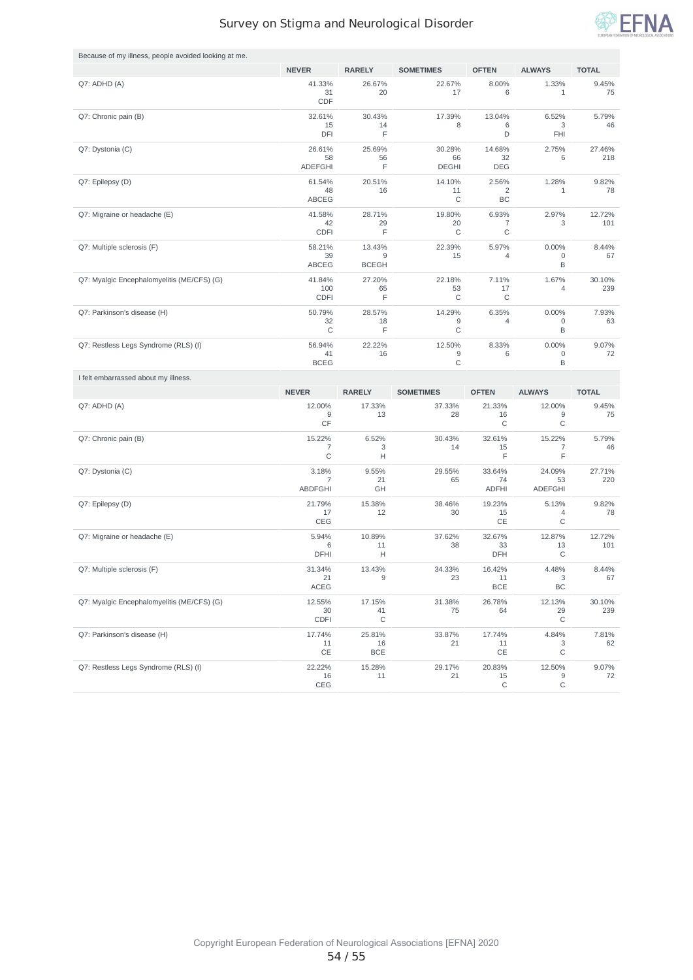

| Because of my illness, people avoided looking at me. |                                           |                             |                              |                              |                                |               |
|------------------------------------------------------|-------------------------------------------|-----------------------------|------------------------------|------------------------------|--------------------------------|---------------|
|                                                      | <b>NEVER</b>                              | <b>RARELY</b>               | <b>SOMETIMES</b>             | <b>OFTEN</b>                 | <b>ALWAYS</b>                  | <b>TOTAL</b>  |
| Q7: ADHD (A)                                         | 41.33%<br>31<br>CDF                       | 26.67%<br>20                | 22.67%<br>17                 | 8.00%<br>6                   | 1.33%<br>$\mathbf{1}$          | 9.45%<br>75   |
| Q7: Chronic pain (B)                                 | 32.61%<br>15<br>DFI                       | 30.43%<br>14<br>F           | 17.39%<br>8                  | 13.04%<br>6<br>D             | 6.52%<br>3<br>FHI              | 5.79%<br>46   |
| Q7: Dystonia (C)                                     | 26.61%<br>58<br><b>ADEFGHI</b>            | 25.69%<br>56<br>F           | 30.28%<br>66<br><b>DEGHI</b> | 14.68%<br>32<br><b>DEG</b>   | 2.75%<br>6                     | 27.46%<br>218 |
| Q7: Epilepsy (D)                                     | 61.54%<br>48<br>ABCEG                     | 20.51%<br>16                | 14.10%<br>11<br>С            | 2.56%<br>2<br>BC             | 1.28%<br>1                     | 9.82%<br>78   |
| Q7: Migraine or headache (E)                         | 41.58%<br>42<br>CDFI                      | 28.71%<br>29<br>F           | 19.80%<br>20<br>C            | 6.93%<br>7<br>C              | 2.97%<br>3                     | 12.72%<br>101 |
| Q7: Multiple sclerosis (F)                           | 58.21%<br>39<br><b>ABCEG</b>              | 13.43%<br>9<br><b>BCEGH</b> | 22.39%<br>15                 | 5.97%<br>4                   | 0.00%<br>0<br>B                | 8.44%<br>67   |
| Q7: Myalgic Encephalomyelitis (ME/CFS) (G)           | 41.84%<br>100<br>CDFI                     | 27.20%<br>65<br>F           | 22.18%<br>53<br>С            | 7.11%<br>17<br>C             | 1.67%<br>4                     | 30.10%<br>239 |
| Q7: Parkinson's disease (H)                          | 50.79%<br>32<br>C                         | 28.57%<br>18<br>F           | 14.29%<br>9<br>С             | 6.35%<br>4                   | 0.00%<br>0<br>B                | 7.93%<br>63   |
| Q7: Restless Legs Syndrome (RLS) (I)                 | 56.94%<br>41<br><b>BCEG</b>               | 22.22%<br>16                | 12.50%<br>9<br>$\mathsf C$   | 8.33%<br>6                   | 0.00%<br>0<br>B                | 9.07%<br>72   |
|                                                      |                                           |                             |                              |                              |                                |               |
| I felt embarrassed about my illness.                 |                                           |                             |                              |                              |                                |               |
|                                                      | <b>NEVER</b>                              | <b>RARELY</b>               | <b>SOMETIMES</b>             | <b>OFTEN</b>                 | <b>ALWAYS</b>                  | <b>TOTAL</b>  |
| Q7: ADHD (A)                                         | 12.00%<br>9<br>CF                         | 17.33%<br>13                | 37.33%<br>28                 | 21.33%<br>16<br>C            | 12.00%<br>9<br>С               | 9.45%<br>75   |
| Q7: Chronic pain (B)                                 | 15.22%<br>7<br>$\mathsf C$                | 6.52%<br>3<br>Н             | 30.43%<br>14                 | 32.61%<br>15<br>E            | 15.22%<br>7<br>F               | 5.79%<br>46   |
| Q7: Dystonia (C)                                     | 3.18%<br>$\overline{7}$<br><b>ABDFGHI</b> | 9.55%<br>21<br>GH           | 29.55%<br>65                 | 33.64%<br>74<br><b>ADFHI</b> | 24.09%<br>53<br><b>ADEFGHI</b> | 27.71%<br>220 |
| Q7: Epilepsy (D)                                     | 21.79%<br>17<br>CEG                       | 15.38%<br>12                | 38.46%<br>30                 | 19.23%<br>15<br>CE           | 5.13%<br>4<br>C                | 9.82%<br>78   |
| Q7: Migraine or headache (E)                         | 5.94%<br>6<br>DFHI                        | 10.89%<br>11<br>Н           | 37.62%<br>38                 | 32.67%<br>33<br>DFH          | 12.87%<br>13<br>C              | 12.72%<br>101 |
| Q7: Multiple sclerosis (F)                           | 31.34%<br>21<br>ACEG                      | 13.43%<br>9                 | 34.33%<br>23                 | 16.42%<br>11<br><b>BCE</b>   | 4.48%<br>3<br>BC               | 8.44%<br>67   |
| Q7: Myalgic Encephalomyelitis (ME/CFS) (G)           | 12.55%<br>30<br><b>CDFI</b>               | 17.15%<br>41<br>C           | 31.38%<br>75                 | 26.78%<br>64                 | 12.13%<br>29<br>C              | 30.10%<br>239 |
| Q7: Parkinson's disease (H)                          | 17.74%<br>11<br>CE                        | 25.81%<br>16<br><b>BCE</b>  | 33.87%<br>21                 | 17.74%<br>11<br>CE           | 4.84%<br>3<br>С                | 7.81%<br>62   |